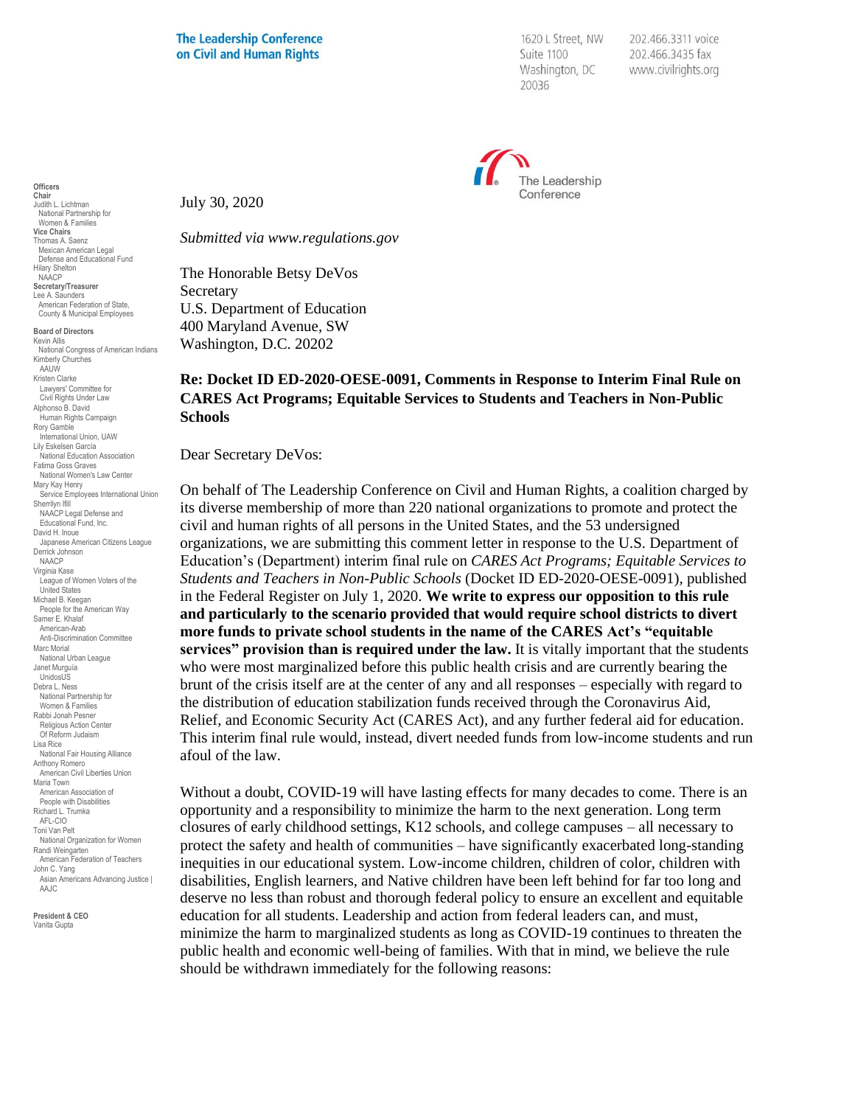1620 L Street, NW Suite 1100 Washington, DC 20036

202.466.3311 voice 202.466.3435 fax www.civilrights.org



July 30, 2020

*Submitted via www.regulations.gov*

The Honorable Betsy DeVos Secretary U.S. Department of Education 400 Maryland Avenue, SW Washington, D.C. 20202

## **Re: Docket ID ED-2020-OESE-0091, Comments in Response to Interim Final Rule on CARES Act Programs; Equitable Services to Students and Teachers in Non-Public Schools**

Dear Secretary DeVos:

On behalf of The Leadership Conference on Civil and Human Rights, a coalition charged by its diverse membership of more than 220 national organizations to promote and protect the civil and human rights of all persons in the United States, and the 53 undersigned organizations, we are submitting this comment letter in response to the U.S. Department of Education's (Department) interim final rule on *CARES Act Programs; Equitable Services to Students and Teachers in Non-Public Schools* (Docket ID ED-2020-OESE-0091)*,* published in the Federal Register on July 1, 2020. **We write to express our opposition to this rule and particularly to the scenario provided that would require school districts to divert more funds to private school students in the name of the CARES Act's "equitable services" provision than is required under the law.** It is vitally important that the students who were most marginalized before this public health crisis and are currently bearing the brunt of the crisis itself are at the center of any and all responses – especially with regard to the distribution of education stabilization funds received through the Coronavirus Aid, Relief, and Economic Security Act (CARES Act), and any further federal aid for education. This interim final rule would, instead, divert needed funds from low-income students and run afoul of the law.

Without a doubt, COVID-19 will have lasting effects for many decades to come. There is an opportunity and a responsibility to minimize the harm to the next generation. Long term closures of early childhood settings, K12 schools, and college campuses – all necessary to protect the safety and health of communities – have significantly exacerbated long-standing inequities in our educational system. Low-income children, children of color, children with disabilities, English learners, and Native children have been left behind for far too long and deserve no less than robust and thorough federal policy to ensure an excellent and equitable education for all students. Leadership and action from federal leaders can, and must, minimize the harm to marginalized students as long as COVID-19 continues to threaten the public health and economic well-being of families. With that in mind, we believe the rule should be withdrawn immediately for the following reasons:

**Officers Chair** Judith L. Lichtman National Partnership for Women & Families **Vice Chairs** Thomas A. Saenz Mexican American Legal Defense and Educational Fund Hilary Shelton NAACP **Secretary/Treasurer** Lee A. Saunders American Federation of State, County & Municipal Employees

**Board of Directors** Kevin Allis National Congress of American Indians Kimberly Churches **AAUW** Kristen Clarke Lawyers' Committee for Civil Rights Under Law Alphonso B. David Human Rights Campaign Rory Gamble International Union, UAW Lily Eskelsen García National Education Association Fatima Goss Graves National Women's Law Center Mary Kay Henry Service Employees International Union Sherrilyn Ifill NAACP Legal Defense and Educational Fund, Inc. David H. Inoue Japanese American Citizens League Derrick Johnson NAACP Virginia Kase League of Women Voters of the United States Michael B. Keegan People for the American Way Samer E. Khalaf American-Arab Anti-Discrimination Committee Marc Morial National Urban League Janet Murguía UnidosL<sub>IS</sub> Debra L. Ness National Partnership for Women & Families Rabbi Jonah Pesner Religious Action Center Of Reform Judaism Lisa Rice National Fair Housing Alliance Anthony Romero American Civil Liberties Union Maria Town American Association of People with Disabilities Richard L. Trumka AFL-CIO Toni Van Pelt National Organization for Women Randi Weingarten American Federation of Teachers John C. Yang Asian Americans Advancing Justice | AAJC

**President & CEO** Vanita Gupta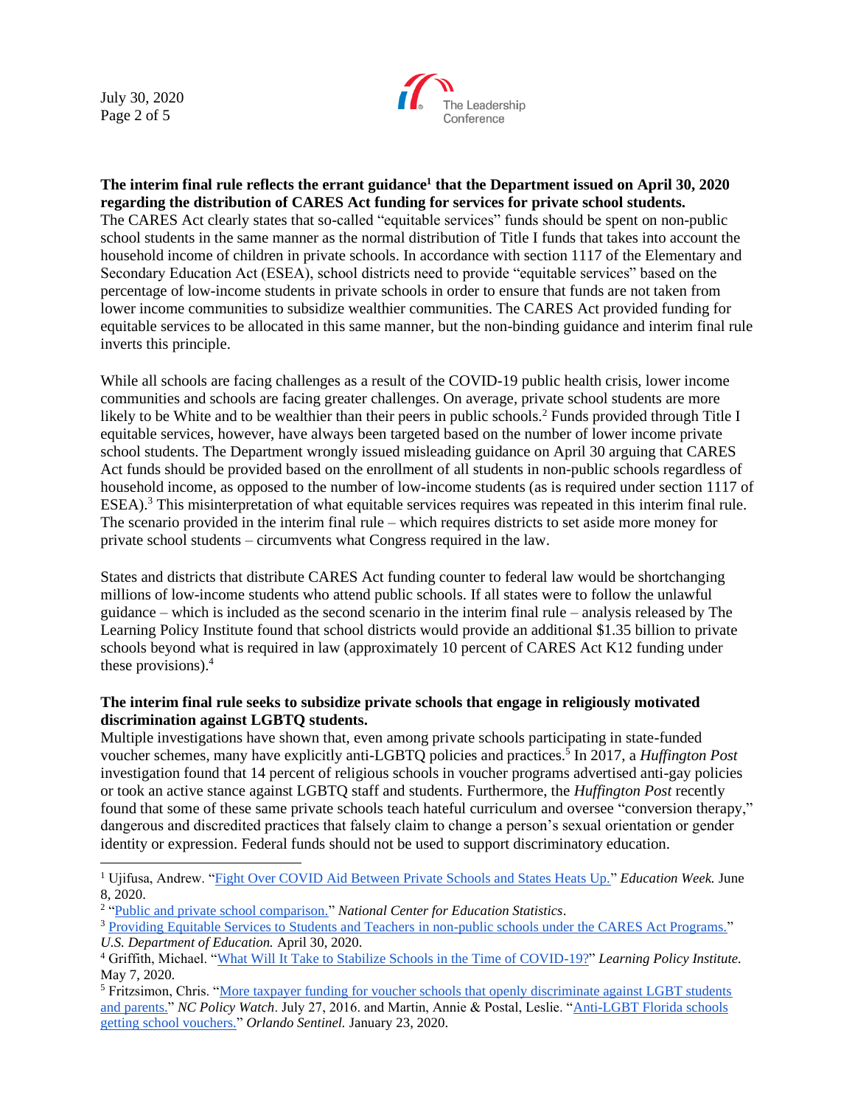July 30, 2020 Page 2 of 5



**The interim final rule reflects the errant guidance<sup>1</sup> that the Department issued on April 30, 2020 regarding the distribution of CARES Act funding for services for private school students.** The CARES Act clearly states that so-called "equitable services" funds should be spent on non-public school students in the same manner as the normal distribution of Title I funds that takes into account the household income of children in private schools. In accordance with section 1117 of the Elementary and Secondary Education Act (ESEA), school districts need to provide "equitable services" based on the percentage of low-income students in private schools in order to ensure that funds are not taken from lower income communities to subsidize wealthier communities. The CARES Act provided funding for equitable services to be allocated in this same manner, but the non-binding guidance and interim final rule inverts this principle.

While all schools are facing challenges as a result of the COVID-19 public health crisis, lower income communities and schools are facing greater challenges. On average, private school students are more likely to be White and to be wealthier than their peers in public schools.<sup>2</sup> Funds provided through Title I equitable services, however, have always been targeted based on the number of lower income private school students. The Department wrongly issued misleading guidance on April 30 arguing that CARES Act funds should be provided based on the enrollment of all students in non-public schools regardless of household income, as opposed to the number of low-income students (as is required under section 1117 of ESEA).<sup>3</sup> This misinterpretation of what equitable services requires was repeated in this interim final rule. The scenario provided in the interim final rule – which requires districts to set aside more money for private school students – circumvents what Congress required in the law.

States and districts that distribute CARES Act funding counter to federal law would be shortchanging millions of low-income students who attend public schools. If all states were to follow the unlawful guidance – which is included as the second scenario in the interim final rule – analysis released by The Learning Policy Institute found that school districts would provide an additional \$1.35 billion to private schools beyond what is required in law (approximately 10 percent of CARES Act K12 funding under these provisions). 4

## **The interim final rule seeks to subsidize private schools that engage in religiously motivated discrimination against LGBTQ students.**

Multiple investigations have shown that, even among private schools participating in state-funded voucher schemes, many have explicitly anti-LGBTQ policies and practices.<sup>5</sup> In 2017, a *Huffington Post* investigation found that 14 percent of religious schools in voucher programs advertised anti-gay policies or took an active stance against LGBTQ staff and students. Furthermore, the *Huffington Post* recently found that some of these same private schools teach hateful curriculum and oversee "conversion therapy," dangerous and discredited practices that falsely claim to change a person's sexual orientation or gender identity or expression. Federal funds should not be used to support discriminatory education.

<sup>1</sup> Ujifusa, Andrew. ["Fight Over COVID Aid Between Private Schools and States Heats Up."](https://blogs.edweek.org/edweek/campaign-k-12/2020/06/covid-federal-aid-catholic-schools-districts-fight-heats-up.html) *Education Week.* June 8, 2020.

<sup>&</sup>lt;sup>2</sup> ["Public and private school comparison."](https://nces.ed.gov/fastfacts/display.asp?id=55) *National Center for Education Statistics*.

<sup>&</sup>lt;sup>3</sup> [Providing Equitable Services to Students and Teachers in non-public schools under the CARES Act Programs."](https://oese.ed.gov/files/2020/04/FAQs-Equitable-Services.pdf) *U.S. Department of Education.* April 30, 2020.

<sup>4</sup> Griffith, Michael. ["What Will It Take to Stabilize Schools in the Time of COVID-19?"](https://learningpolicyinstitute.org/blog/what-will-it-take-stabilize-schools-time-covid-19) *Learning Policy Institute.*  May 7, 2020.

<sup>5</sup> Fritzsimon, Chris. ["More taxpayer funding for voucher schools that openly discriminate against LGBT students](http://www.ncpolicywatch.com/2016/07/27/more-taxpayer-funding-for-voucher-schools-that-openly-discriminate-against-lgbt-students-and-parents/)  [and parents."](http://www.ncpolicywatch.com/2016/07/27/more-taxpayer-funding-for-voucher-schools-that-openly-discriminate-against-lgbt-students-and-parents/) *NC Policy Watch*. July 27, 2016. and Martin, Annie & Postal, Leslie. ["Anti-LGBT Florida schools](https://www.orlandosentinel.com/news/education/os-ne-voucher-schools-lgbtq-discriminate-20200123-s5ue4nvqybcgrbrxov5hcb46a4-htmlstory.html)  [getting school vouchers."](https://www.orlandosentinel.com/news/education/os-ne-voucher-schools-lgbtq-discriminate-20200123-s5ue4nvqybcgrbrxov5hcb46a4-htmlstory.html) *Orlando Sentinel.* January 23, 2020.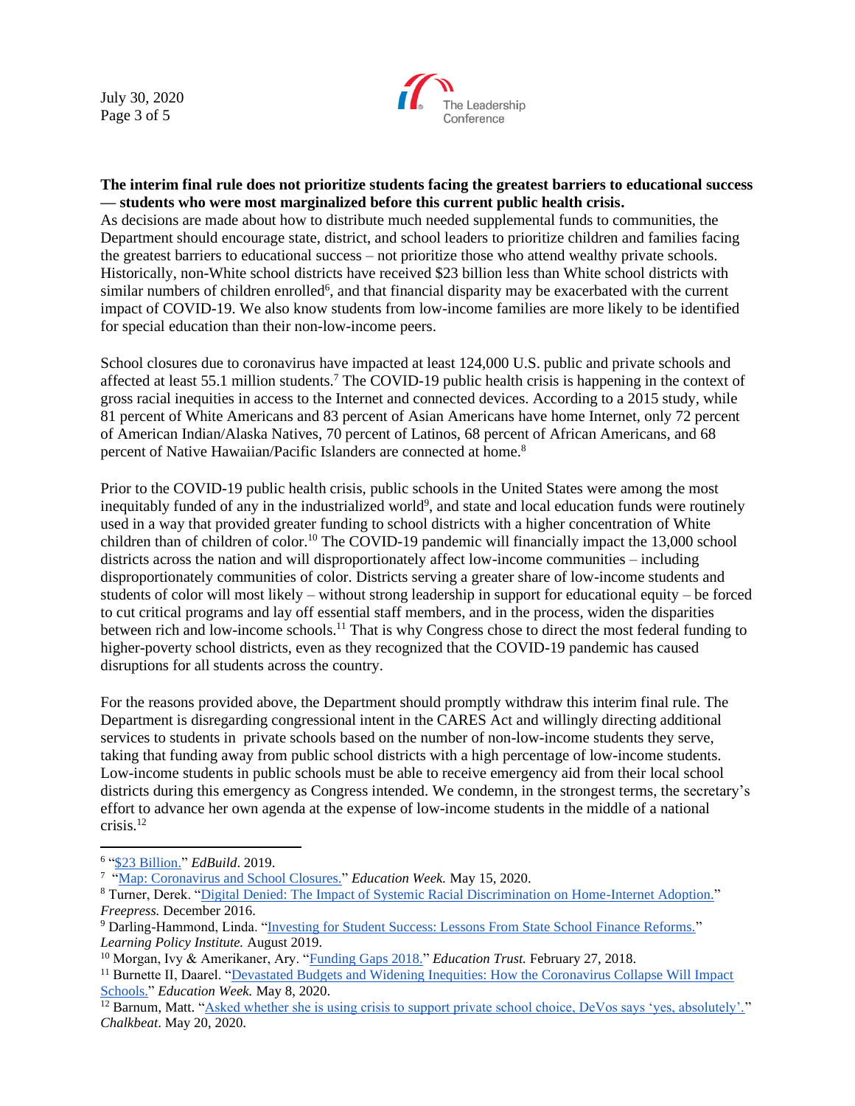July 30, 2020 Page 3 of 5



## **The interim final rule does not prioritize students facing the greatest barriers to educational success — students who were most marginalized before this current public health crisis.**

As decisions are made about how to distribute much needed supplemental funds to communities, the Department should encourage state, district, and school leaders to prioritize children and families facing the greatest barriers to educational success – not prioritize those who attend wealthy private schools. Historically, non-White school districts have received \$23 billion less than White school districts with similar numbers of children enrolled<sup>6</sup>, and that financial disparity may be exacerbated with the current impact of COVID-19. We also know students from low-income families are more likely to be identified for special education than their non-low-income peers.

School closures due to coronavirus have impacted at least 124,000 U.S. public and private schools and affected at least 55.1 million students.<sup>7</sup> The COVID-19 public health crisis is happening in the context of gross racial inequities in access to the Internet and connected devices. According to a 2015 study, while 81 percent of White Americans and 83 percent of Asian Americans have home Internet, only 72 percent of American Indian/Alaska Natives, 70 percent of Latinos, 68 percent of African Americans, and 68 percent of Native Hawaiian/Pacific Islanders are connected at home.<sup>8</sup>

Prior to the COVID-19 public health crisis, public schools in the United States were among the most inequitably funded of any in the industrialized world<sup>9</sup>, and state and local education funds were routinely used in a way that provided greater funding to school districts with a higher concentration of White children than of children of color.<sup>10</sup> The COVID-19 pandemic will financially impact the 13,000 school districts across the nation and will disproportionately affect low-income communities – including disproportionately communities of color. Districts serving a greater share of low-income students and students of color will most likely – without strong leadership in support for educational equity – be forced to cut critical programs and lay off essential staff members, and in the process, widen the disparities between rich and low-income schools.<sup>11</sup> That is why Congress chose to direct the most federal funding to higher-poverty school districts, even as they recognized that the COVID-19 pandemic has caused disruptions for all students across the country.

For the reasons provided above, the Department should promptly withdraw this interim final rule. The Department is disregarding congressional intent in the CARES Act and willingly directing additional services to students in private schools based on the number of non-low-income students they serve, taking that funding away from public school districts with a high percentage of low-income students. Low-income students in public schools must be able to receive emergency aid from their local school districts during this emergency as Congress intended. We condemn, in the strongest terms, the secretary's effort to advance her own agenda at the expense of low-income students in the middle of a national crisis.<sup>12</sup>

<sup>6</sup> ["\\$23 Billion."](https://edbuild.org/content/23-billion/full-report.pdf) *EdBuild*. 2019.

<sup>&</sup>lt;sup>7</sup> ["Map: Coronavirus and School Closures."](https://www.edweek.org/ew/section/multimedia/map-coronavirus-and-school-closures.html) *Education Week*. May 15, 2020.

<sup>8</sup> Turner, Derek. ["Digital Denied: The Impact of Systemic Racial Discrimination on Home-Internet Adoption."](http://www.freepress.net/sites/default/files/resources/digital_denied_free_press_report_december_2016.pdf) *Freepress.* December 2016.

<sup>9</sup> Darling-Hammond, Linda. ["Investing for Student Success: Lessons From State School Finance Reforms."](https://learningpolicyinstitute.org/sites/default/files/product-files/Investing_Student_Success_BRIEF.pdf) *Learning Policy Institute.* August 2019.

<sup>10</sup> Morgan, Ivy & Amerikaner, Ary. ["Funding Gaps 2018."](https://edtrust.org/resource/funding-gaps-2018/) *Education Trust.* February 27, 2018.

<sup>&</sup>lt;sup>11</sup> Burnette II, Daarel. "Devastated Budgets and Widening Inequities: How the Coronavirus Collapse Will Impact [Schools."](https://www.edweek.org/ew/articles/2020/05/09/devastated-budgets-and-widening-inequities-how-the.html) *Education Week.* May 8, 2020.

<sup>&</sup>lt;sup>12</sup> Barnum, Matt. ["Asked whether she is using crisis to support private school choice, DeVos says 'yes, absolutely'."](https://www.chalkbeat.org/2020/5/20/21265527/devos-using-coronavirus-to-boost-private-schools-says-yes-absolutely) *Chalkbeat*. May 20, 2020.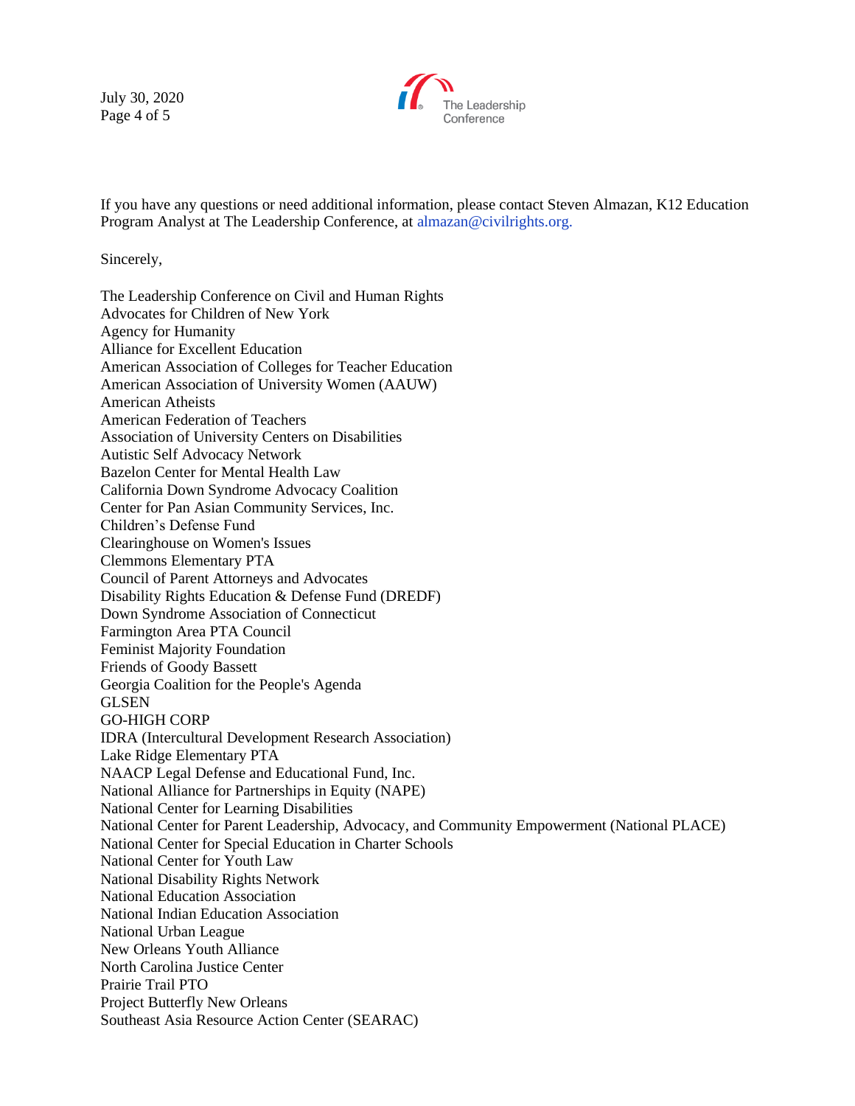July 30, 2020 Page 4 of 5



If you have any questions or need additional information, please contact Steven Almazan, K12 Education Program Analyst at The Leadership Conference, at almazan@civilrights.org.

Sincerely,

The Leadership Conference on Civil and Human Rights Advocates for Children of New York Agency for Humanity Alliance for Excellent Education American Association of Colleges for Teacher Education American Association of University Women (AAUW) American Atheists American Federation of Teachers Association of University Centers on Disabilities Autistic Self Advocacy Network Bazelon Center for Mental Health Law California Down Syndrome Advocacy Coalition Center for Pan Asian Community Services, Inc. Children's Defense Fund Clearinghouse on Women's Issues Clemmons Elementary PTA Council of Parent Attorneys and Advocates Disability Rights Education & Defense Fund (DREDF) Down Syndrome Association of Connecticut Farmington Area PTA Council Feminist Majority Foundation Friends of Goody Bassett Georgia Coalition for the People's Agenda **GLSEN** GO-HIGH CORP IDRA (Intercultural Development Research Association) Lake Ridge Elementary PTA NAACP Legal Defense and Educational Fund, Inc. National Alliance for Partnerships in Equity (NAPE) National Center for Learning Disabilities National Center for Parent Leadership, Advocacy, and Community Empowerment (National PLACE) National Center for Special Education in Charter Schools National Center for Youth Law National Disability Rights Network National Education Association National Indian Education Association National Urban League New Orleans Youth Alliance North Carolina Justice Center Prairie Trail PTO Project Butterfly New Orleans Southeast Asia Resource Action Center (SEARAC)